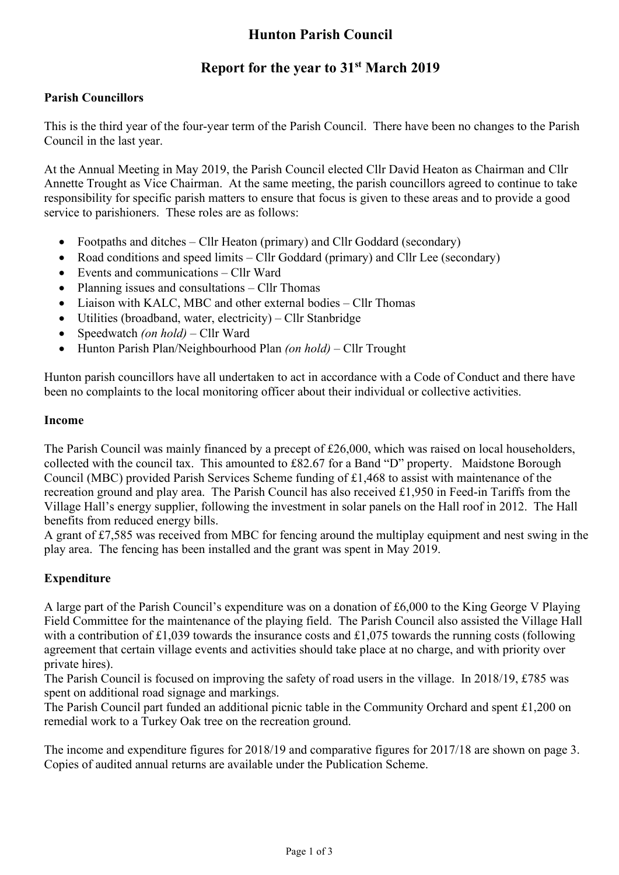# **Hunton Parish Council**

# **Report for the year to 31st March 2019**

#### **Parish Councillors**

This is the third year of the four-year term of the Parish Council. There have been no changes to the Parish Council in the last year.

At the Annual Meeting in May 2019, the Parish Council elected Cllr David Heaton as Chairman and Cllr Annette Trought as Vice Chairman. At the same meeting, the parish councillors agreed to continue to take responsibility for specific parish matters to ensure that focus is given to these areas and to provide a good service to parishioners. These roles are as follows:

- Footpaths and ditches Cllr Heaton (primary) and Cllr Goddard (secondary)
- Road conditions and speed limits Cllr Goddard (primary) and Cllr Lee (secondary)
- Events and communications Cllr Ward
- Planning issues and consultations Cllr Thomas
- Liaison with KALC, MBC and other external bodies Cllr Thomas
- Utilities (broadband, water, electricity) Cllr Stanbridge
- Speedwatch *(on hold)* Cllr Ward
- Hunton Parish Plan/Neighbourhood Plan *(on hold)*  Cllr Trought

Hunton parish councillors have all undertaken to act in accordance with a Code of Conduct and there have been no complaints to the local monitoring officer about their individual or collective activities.

#### **Income**

The Parish Council was mainly financed by a precept of £26,000, which was raised on local householders, collected with the council tax. This amounted to £82.67 for a Band "D" property. Maidstone Borough Council (MBC) provided Parish Services Scheme funding of £1,468 to assist with maintenance of the recreation ground and play area. The Parish Council has also received £1,950 in Feed-in Tariffs from the Village Hall's energy supplier, following the investment in solar panels on the Hall roof in 2012. The Hall benefits from reduced energy bills.

A grant of £7,585 was received from MBC for fencing around the multiplay equipment and nest swing in the play area. The fencing has been installed and the grant was spent in May 2019.

#### **Expenditure**

A large part of the Parish Council's expenditure was on a donation of £6,000 to the King George V Playing Field Committee for the maintenance of the playing field. The Parish Council also assisted the Village Hall with a contribution of £1,039 towards the insurance costs and £1,075 towards the running costs (following agreement that certain village events and activities should take place at no charge, and with priority over private hires).

The Parish Council is focused on improving the safety of road users in the village. In 2018/19, £785 was spent on additional road signage and markings.

The Parish Council part funded an additional picnic table in the Community Orchard and spent £1,200 on remedial work to a Turkey Oak tree on the recreation ground.

The income and expenditure figures for 2018/19 and comparative figures for 2017/18 are shown on page 3. Copies of audited annual returns are available under the Publication Scheme.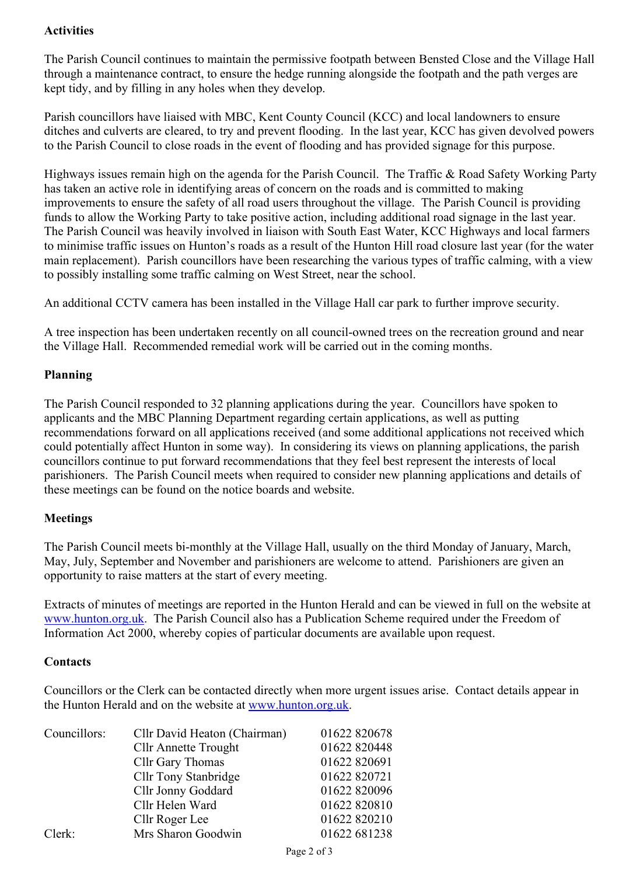### **Activities**

The Parish Council continues to maintain the permissive footpath between Bensted Close and the Village Hall through a maintenance contract, to ensure the hedge running alongside the footpath and the path verges are kept tidy, and by filling in any holes when they develop.

Parish councillors have liaised with MBC, Kent County Council (KCC) and local landowners to ensure ditches and culverts are cleared, to try and prevent flooding. In the last year, KCC has given devolved powers to the Parish Council to close roads in the event of flooding and has provided signage for this purpose.

Highways issues remain high on the agenda for the Parish Council. The Traffic & Road Safety Working Party has taken an active role in identifying areas of concern on the roads and is committed to making improvements to ensure the safety of all road users throughout the village. The Parish Council is providing funds to allow the Working Party to take positive action, including additional road signage in the last year. The Parish Council was heavily involved in liaison with South East Water, KCC Highways and local farmers to minimise traffic issues on Hunton's roads as a result of the Hunton Hill road closure last year (for the water main replacement). Parish councillors have been researching the various types of traffic calming, with a view to possibly installing some traffic calming on West Street, near the school.

An additional CCTV camera has been installed in the Village Hall car park to further improve security.

A tree inspection has been undertaken recently on all council-owned trees on the recreation ground and near the Village Hall. Recommended remedial work will be carried out in the coming months.

#### **Planning**

The Parish Council responded to 32 planning applications during the year. Councillors have spoken to applicants and the MBC Planning Department regarding certain applications, as well as putting recommendations forward on all applications received (and some additional applications not received which could potentially affect Hunton in some way). In considering its views on planning applications, the parish councillors continue to put forward recommendations that they feel best represent the interests of local parishioners. The Parish Council meets when required to consider new planning applications and details of these meetings can be found on the notice boards and website.

#### **Meetings**

The Parish Council meets bi-monthly at the Village Hall, usually on the third Monday of January, March, May, July, September and November and parishioners are welcome to attend. Parishioners are given an opportunity to raise matters at the start of every meeting.

Extracts of minutes of meetings are reported in the Hunton Herald and can be viewed in full on the website at www.hunton.org.uk. The Parish Council also has a Publication Scheme required under the Freedom of Information Act 2000, whereby copies of particular documents are available upon request.

#### **Contacts**

Councillors or the Clerk can be contacted directly when more urgent issues arise. Contact details appear in the Hunton Herald and on the website at www.hunton.org.uk.

| Councillors: | Cllr David Heaton (Chairman) | 01622 820678 |
|--------------|------------------------------|--------------|
|              | <b>Cllr Annette Trought</b>  | 01622 820448 |
|              | Cllr Gary Thomas             | 01622 820691 |
|              | Cllr Tony Stanbridge         | 01622 820721 |
|              | Cllr Jonny Goddard           | 01622 820096 |
|              | Cllr Helen Ward              | 01622 820810 |
|              | Cllr Roger Lee               | 01622 820210 |
| Clerk:       | Mrs Sharon Goodwin           | 01622 681238 |